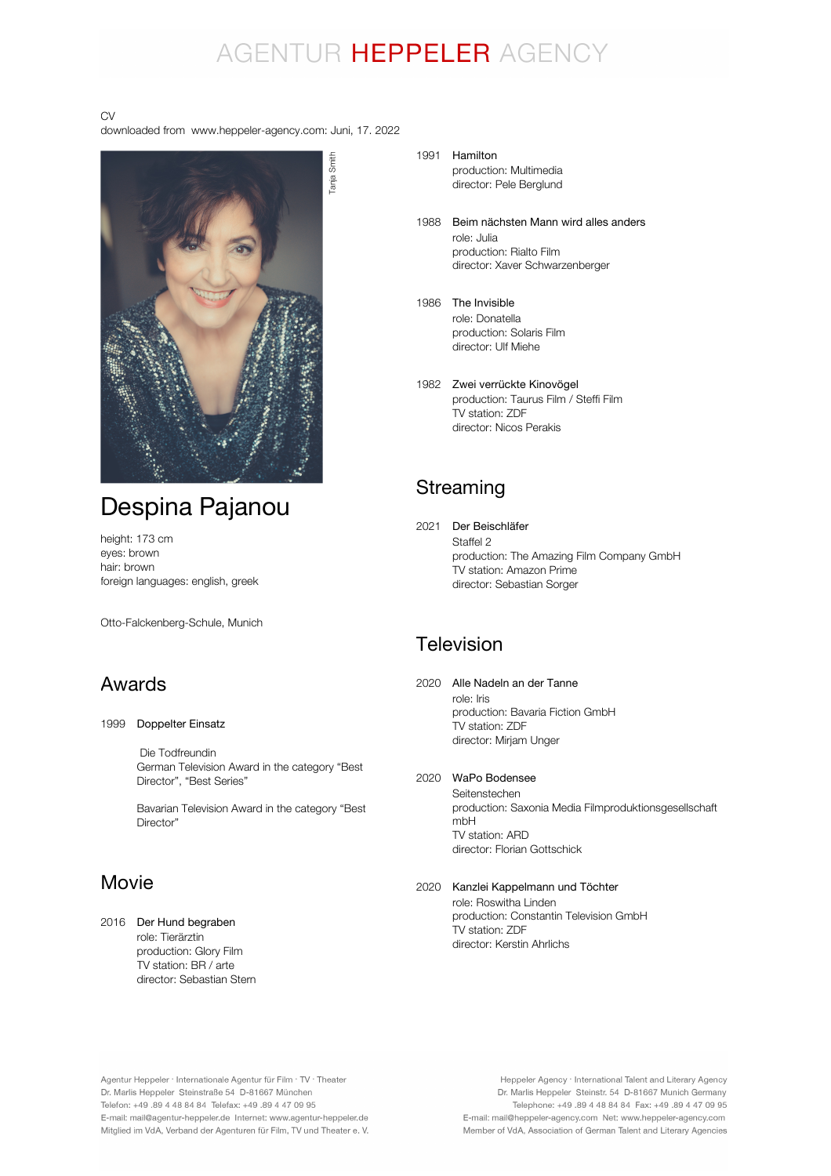## AGENTUR HEPPELER AGENCY

#### CV

downloaded from www.heppeler-agency.com: Juni, 17. 2022



## Despina Pajanou

height: 173 cm eyes: brown hair: brown foreign languages: english, greek

Otto-Falckenberg-Schule, Munich

### Awards

1999 Doppelter Einsatz

 Die Todfreundin German Television Award in the category "Best Director", "Best Series"

Bavarian Television Award in the category "Best Director"

### Movie

2016 Der Hund begraben role: Tierärztin production: Glory Film TV station: BR / arte director: Sebastian Stern

- 1991 Hamilton production: Multimedia director: Pele Berglund
	- 1988 Beim nächsten Mann wird alles anders role: Julia production: Rialto Film director: Xaver Schwarzenberger
- 1986 The Invisible role: Donatella production: Solaris Film director: Ulf Miehe
- 1982 Zwei verrückte Kinovögel production: Taurus Film / Steffi Film TV station: ZDF director: Nicos Perakis

### **Streaming**

2021 Der Beischläfer Staffel 2 production: The Amazing Film Company GmbH TV station: Amazon Prime director: Sebastian Sorger

### **Television**

2020 Alle Nadeln an der Tanne role: Iris production: Bavaria Fiction GmbH TV station: ZDF director: Mirjam Unger

#### 2020 WaPo Bodensee

Seitenstechen production: Saxonia Media Filmproduktionsgesellschaft mbH TV station: ARD director: Florian Gottschick

#### 2020 Kanzlei Kappelmann und Töchter

role: Roswitha Linden production: Constantin Television GmbH TV station: ZDF director: Kerstin Ahrlichs

Agentur Heppeler · Internationale Agentur für Film · TV · Theater Dr. Marlis Heppeler Steinstraße 54 D-81667 München Telefon: +49.89 4 48 84 84 Telefax: +49.89 4 47 09 95 E-mail: mail@agentur-heppeler.de Internet: www.agentur-heppeler.de Mitglied im VdA, Verband der Agenturen für Film, TV und Theater e. V.

Heppeler Agency · International Talent and Literary Agency Dr. Marlis Heppeler Steinstr. 54 D-81667 Munich Germany Telephone: +49 .89 4 48 84 84 Fax: +49 .89 4 47 09 95 E-mail: mail@heppeler-agency.com Net: www.heppeler-agency.com Member of VdA, Association of German Talent and Literary Agencies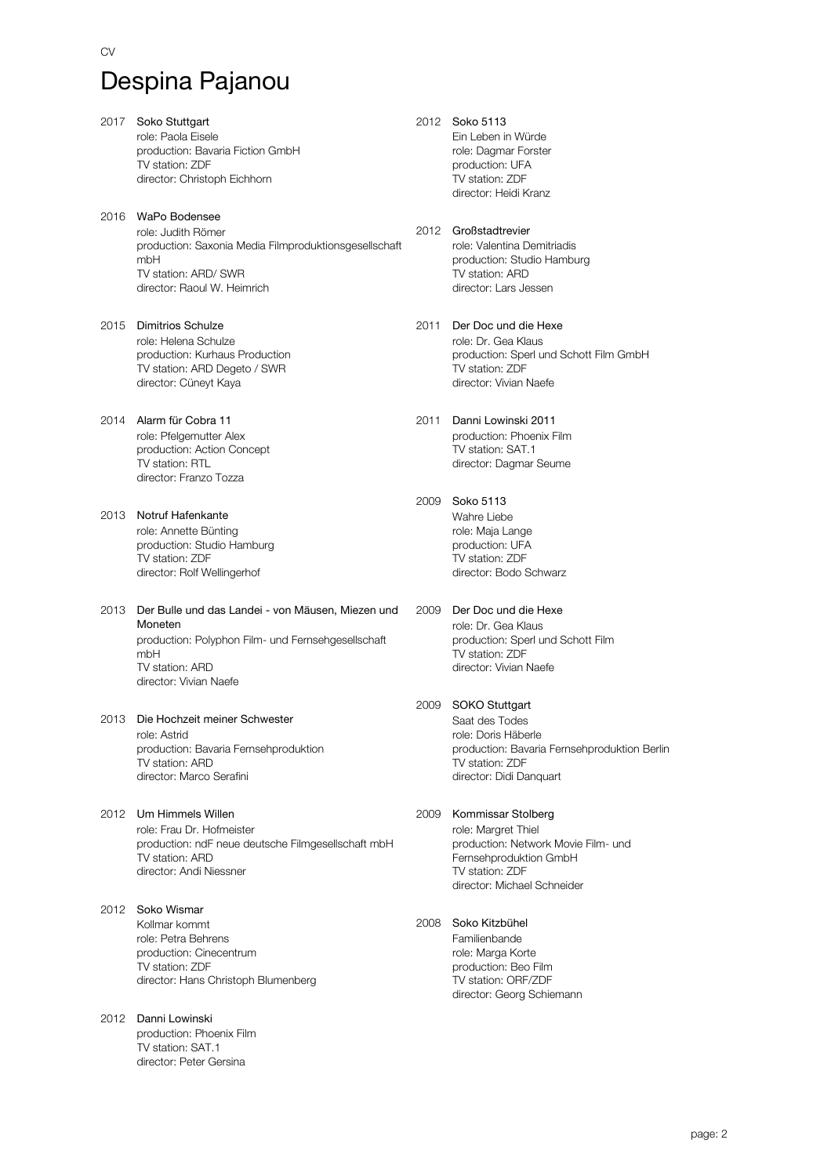- 2017 Soko Stuttgart role: Paola Eisele production: Bavaria Fiction GmbH TV station: ZDF director: Christoph Eichhorn
- 2016 WaPo Bodensee role: Judith Römer production: Saxonia Media Filmproduktionsgesellschaft mbH TV station: ARD/ SWR director: Raoul W. Heimrich
- 2015 Dimitrios Schulze role: Helena Schulze production: Kurhaus Production TV station: ARD Degeto / SWR director: Cüneyt Kaya
- 2014 Alarm für Cobra 11 role: Pfelgemutter Alex production: Action Concept TV station: RTL director: Franzo Tozza
- 2013 Notruf Hafenkante role: Annette Bünting production: Studio Hamburg TV station: ZDF director: Rolf Wellingerhof
- 2013 Der Bulle und das Landei von Mäusen, Miezen und production: Polyphon Film- und Fernsehgesellschaft mbH TV station: ARD director: Vivian Naefe Moneten
- 2013 Die Hochzeit meiner Schwester role: Astrid production: Bavaria Fernsehproduktion TV station: ARD director: Marco Serafini
- 2012 Um Himmels Willen role: Frau Dr. Hofmeister production: ndF neue deutsche Filmgesellschaft mbH TV station: ARD director: Andi Niessner
- 2012 Soko Wismar Kollmar kommt role: Petra Behrens production: Cinecentrum TV station: ZDF director: Hans Christoph Blumenberg
- 2012 Danni Lowinski production: Phoenix Film TV station: SAT.1 director: Peter Gersina
- 2012 Soko 5113 Ein Leben in Würde role: Dagmar Forster production: UFA TV station: ZDF director: Heidi Kranz
- 2012 Großstadtrevier role: Valentina Demitriadis production: Studio Hamburg TV station: ARD director: Lars Jessen
- 2011 Der Doc und die Hexe role: Dr. Gea Klaus production: Sperl und Schott Film GmbH TV station: ZDF director: Vivian Naefe
- 2011 Danni Lowinski 2011 production: Phoenix Film TV station: SAT.1 director: Dagmar Seume
- 2009 Soko 5113 Wahre Liebe role: Maja Lange production: UFA TV station: ZDF director: Bodo Schwarz
- 2009 Der Doc und die Hexe role: Dr. Gea Klaus production: Sperl und Schott Film TV station: ZDF director: Vivian Naefe
- 2009 SOKO Stuttgart Saat des Todes role: Doris Häberle production: Bavaria Fernsehproduktion Berlin TV station: ZDF director: Didi Danquart
- 2009 Kommissar Stolberg role: Margret Thiel production: Network Movie Film- und Fernsehproduktion GmbH TV station: ZDF director: Michael Schneider
- 2008 Soko Kitzbühel Familienbande role: Marga Korte
	- production: Beo Film TV station: ORF/ZDF director: Georg Schiemann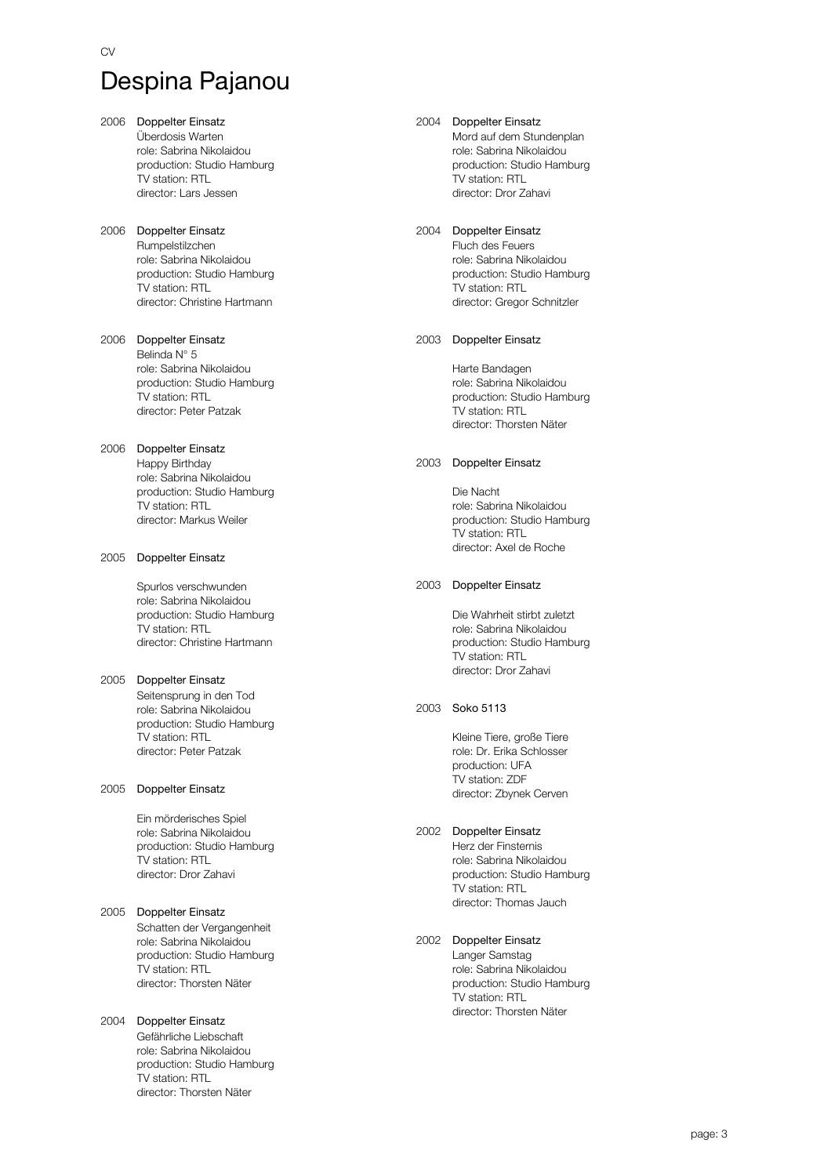- 2006 Doppelter Einsatz Überdosis Warten role: Sabrina Nikolaidou production: Studio Hamburg TV station: RTL director: Lars Jessen 2006 Doppelter Einsatz Rumpelstilzchen role: Sabrina Nikolaidou production: Studio Hamburg TV station: RTL director: Christine Hartmann 2006 Doppelter Einsatz Belinda N° 5 role: Sabrina Nikolaidou production: Studio Hamburg TV station: RTL director: Peter Patzak 2006 Doppelter Einsatz Happy Birthday role: Sabrina Nikolaidou production: Studio Hamburg TV station: RTL director: Markus Weiler 2005 Doppelter Einsatz Spurlos verschwunden role: Sabrina Nikolaidou production: Studio Hamburg TV station: RTL director: Christine Hartmann 2005 Doppelter Einsatz Seitensprung in den Tod role: Sabrina Nikolaidou production: Studio Hamburg TV station: RTL director: Peter Patzak 2005 Doppelter Einsatz Ein mörderisches Spiel role: Sabrina Nikolaidou production: Studio Hamburg TV station: RTL
- 2005 Doppelter Einsatz Schatten der Vergangenheit role: Sabrina Nikolaidou production: Studio Hamburg TV station: RTL director: Thorsten Näter

director: Dror Zahavi

#### 2004 Doppelter Einsatz Gefährliche Liebschaft role: Sabrina Nikolaidou production: Studio Hamburg TV station: RTL director: Thorsten Näter

#### 2004 Doppelter Einsatz

Mord auf dem Stundenplan role: Sabrina Nikolaidou production: Studio Hamburg TV station: RTL director: Dror Zahavi

#### 2004 Doppelter Einsatz

Fluch des Feuers role: Sabrina Nikolaidou production: Studio Hamburg TV station: RTL director: Gregor Schnitzler

#### 2003 Doppelter Einsatz

Harte Bandagen role: Sabrina Nikolaidou production: Studio Hamburg TV station: RTL director: Thorsten Näter

#### 2003 Doppelter Einsatz

Die Nacht role: Sabrina Nikolaidou production: Studio Hamburg .<br>TV station: RTL director: Axel de Roche

#### 2003 Doppelter Einsatz

Die Wahrheit stirbt zuletzt role: Sabrina Nikolaidou production: Studio Hamburg TV station: RTL director: Dror Zahavi

#### 2003 Soko 5113

Kleine Tiere, große Tiere role: Dr. Erika Schlosser production: UFA TV station: ZDF director: Zbynek Cerven

#### 2002 Doppelter Einsatz

Herz der Finsternis role: Sabrina Nikolaidou production: Studio Hamburg TV station: RTL director: Thomas Jauch

#### 2002 Doppelter Einsatz

Langer Samstag role: Sabrina Nikolaidou production: Studio Hamburg TV station: RTL director: Thorsten Näter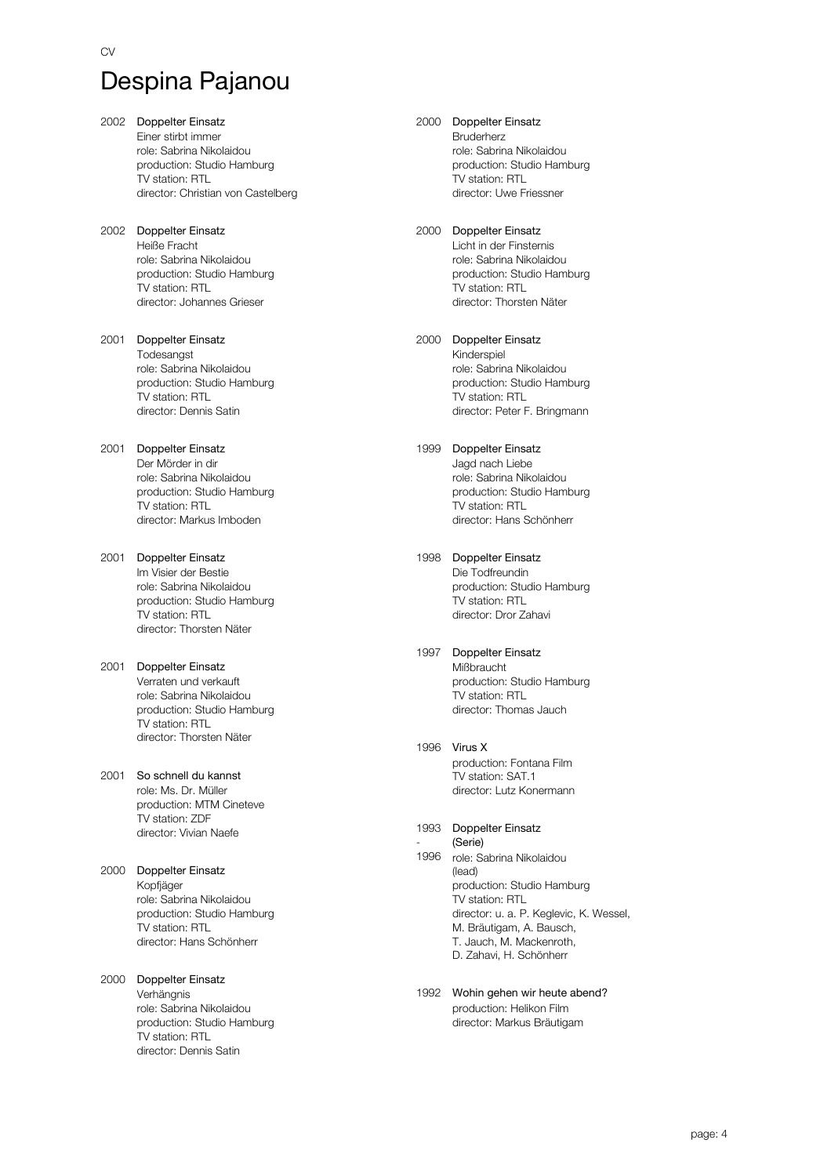- 2002 Doppelter Einsatz Einer stirbt immer role: Sabrina Nikolaidou production: Studio Hamburg TV station: RTL director: Christian von Castelberg
- 2002 Doppelter Einsatz Heiße Fracht role: Sabrina Nikolaidou production: Studio Hamburg TV station: RTL director: Johannes Grieser
- 2001 Doppelter Einsatz Todesangst role: Sabrina Nikolaidou production: Studio Hamburg TV station: RTL director: Dennis Satin
- 2001 Doppelter Einsatz Der Mörder in dir role: Sabrina Nikolaidou production: Studio Hamburg TV station: RTL director: Markus Imboden
- 2001 Doppelter Einsatz Im Visier der Bestie role: Sabrina Nikolaidou production: Studio Hamburg TV station: RTL director: Thorsten Näter
- 2001 Doppelter Einsatz Verraten und verkauft role: Sabrina Nikolaidou production: Studio Hamburg TV station: RTL director: Thorsten Näter
- 2001 So schnell du kannst role: Ms. Dr. Müller production: MTM Cineteve TV station: ZDF director: Vivian Naefe
- 2000 Doppelter Einsatz Kopfjäger role: Sabrina Nikolaidou production: Studio Hamburg TV station: RTL director: Hans Schönherr
- 2000 Doppelter Einsatz Verhängnis role: Sabrina Nikolaidou production: Studio Hamburg TV station: RTL director: Dennis Satin

2000 Doppelter Einsatz Bruderherz

role: Sabrina Nikolaidou production: Studio Hamburg TV station: RTL director: Uwe Friessner

#### 2000 Doppelter Einsatz Licht in der Finsternis role: Sabrina Nikolaidou production: Studio Hamburg TV station: RTL director: Thorsten Näter

2000 Doppelter Einsatz Kinderspiel role: Sabrina Nikolaidou production: Studio Hamburg TV station: RTL director: Peter F. Bringmann

#### 1999 Doppelter Einsatz Jagd nach Liebe role: Sabrina Nikolaidou production: Studio Hamburg TV station: RTL director: Hans Schönherr

- 1998 Doppelter Einsatz Die Todfreundin production: Studio Hamburg TV station: RTL director: Dror Zahavi
- 1997 Doppelter Einsatz Mißbraucht production: Studio Hamburg TV station: RTL director: Thomas Jauch
- 1996 Virus X production: Fontana Film TV station: SAT.1 director: Lutz Konermann

-

- 1993 Doppelter Einsatz 1996 role: Sabrina Nikolaidou (lead) production: Studio Hamburg TV station: RTL director: u. a. P. Keglevic, K. Wessel, M. Bräutigam, A. Bausch, T. Jauch, M. Mackenroth, D. Zahavi, H. Schönherr (Serie)
- 1992 Wohin gehen wir heute abend? production: Helikon Film director: Markus Bräutigam